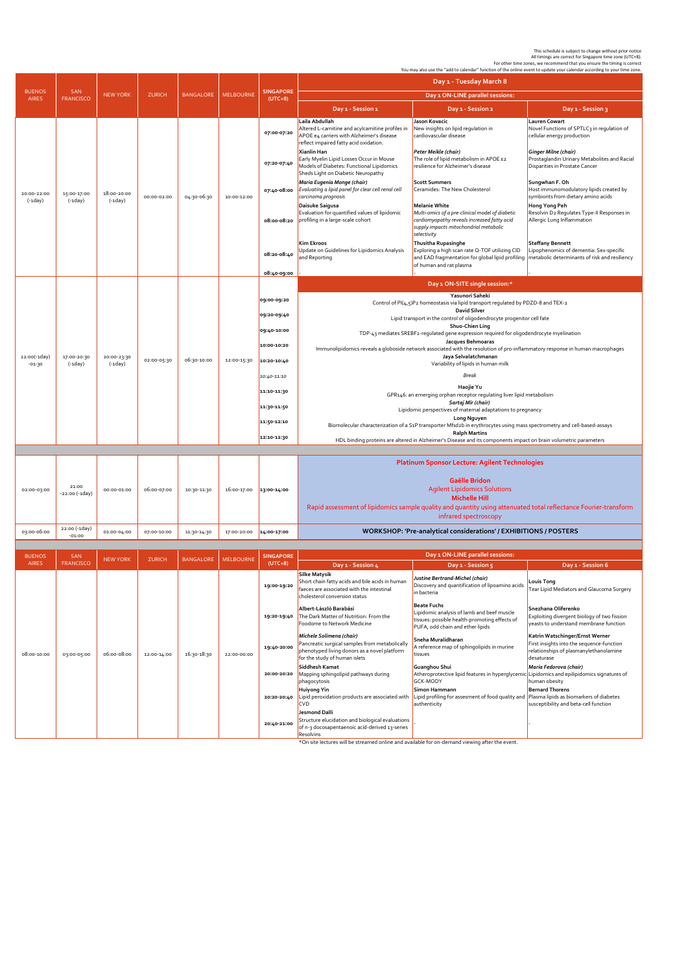This schedule is subject to change without prior notice<br>.All timings are correct for Singapore time zone, (UTC+8).<br>For other time zones, we recommend that you ensure the timing is correct.<br>You may also use the "add to cale

|                               | <b>SAN</b><br><b>FRANCISCO</b> | <b>NEW YORK</b>          | <b>ZURICH</b> | <b>BANGALORE</b> | <b>MELBOURNE</b> | <b>SINGAPORE</b><br>$(UTC+8)$ | Day 1 - Tuesday March 8                                                                                                                                                                                                                                                          |                                                                                                                                                                                                    |                                                                                                                                                                   |
|-------------------------------|--------------------------------|--------------------------|---------------|------------------|------------------|-------------------------------|----------------------------------------------------------------------------------------------------------------------------------------------------------------------------------------------------------------------------------------------------------------------------------|----------------------------------------------------------------------------------------------------------------------------------------------------------------------------------------------------|-------------------------------------------------------------------------------------------------------------------------------------------------------------------|
| <b>BUENOS</b><br><b>AIRES</b> |                                |                          |               |                  |                  |                               | Day 1 ON-LINE parallel sessions:                                                                                                                                                                                                                                                 |                                                                                                                                                                                                    |                                                                                                                                                                   |
|                               |                                |                          |               |                  |                  |                               | Day 1 - Session 1                                                                                                                                                                                                                                                                | Day 1 - Session 2                                                                                                                                                                                  | Day 1 - Session 3                                                                                                                                                 |
| 20:00-22:00<br>$(-1day)$      | 15:00-17:00<br>$(-1day)$       | 18:00-20:00<br>$(-1day)$ | 00:00-02:00   | 04:30-06:30      | 10:00-12:00      | 07:00-07:20                   | Laila Abdullah<br>Altered L-carnitine and acylcarnitine profiles in<br>APOE e4 carriers with Alzheimer's disease<br>reflect impaired fatty acid oxidation.<br>Xianlin Han<br>Early Myelin Lipid Losses Occur in Mouse                                                            | Jason Kovacic<br>New insights on lipid regulation in<br>cardiovascular disease<br>Peter Meikle (chair)<br>The role of lipid metabolism in APOE ε2                                                  | Lauren Cowart<br>Novel Functions of SPTLC3 in regulation of<br>cellular energy production<br>Ginger Milne (chair)<br>Prostaglandin Urinary Metabolites and Racial |
|                               |                                |                          |               |                  |                  | 07:20-07:40                   | Models of Diabetes: Functional Lipidomics<br>Sheds Light on Diabetic Neuropathy                                                                                                                                                                                                  | resilience for Alzheimer's disease                                                                                                                                                                 | Disparities in Prostate Cancer                                                                                                                                    |
|                               |                                |                          |               |                  |                  | 07:40-08:00                   | Maria Eugenia Monge (chair)<br>Evaluating a lipid panel for clear cell renal cell<br>carcinoma prognosis                                                                                                                                                                         | <b>Scott Summers</b><br>Ceramides: The New Cholesterol                                                                                                                                             | Sungwhan F. Oh<br>Host immunomodulatory lipids created by<br>symbionts from dietary amino acids                                                                   |
|                               |                                |                          |               |                  |                  | 08:00-08:20                   | Daisuke Saigusa<br>Evaluation for quantified values of lipidomic<br>profiling in a large-scale cohort                                                                                                                                                                            | <b>Melanie White</b><br>Multi-omics of a pre-clinical model of diabetic<br>cardiomyopathy reveals increased fatty acid<br>supply impacts mitochondrial metabolic<br>selectivity                    | Hong Yong Peh<br>Resolvin D2 Regulates Type-II Responses in<br>Allergic Lung Inflammation                                                                         |
|                               |                                |                          |               |                  |                  | 08:20-08:40                   | Kim Ekroos<br>Update on Guidelines for Lipidomics Analysis<br>and Reporting                                                                                                                                                                                                      | Thusitha Rupasinghe<br>Exploring a high scan rate Q-TOF utilizing CID<br>and EAD fragmentation for global lipid profiling netabolic determinants of risk and resiliency<br>of human and rat plasma | <b>Steffany Bennett</b><br>Lipophenomics of dementia: Sex-specific                                                                                                |
|                               |                                |                          |               |                  |                  | 08:40-09:00                   |                                                                                                                                                                                                                                                                                  | Day 1 ON-SITE single session:*                                                                                                                                                                     |                                                                                                                                                                   |
|                               | 17:00-20:30<br>$(-1day)$       | 20:00-23:30<br>$(-1day)$ | 02:00-05:30   | 06:30-10:00      | 12:00-15:30      |                               | Yasunori Saheki                                                                                                                                                                                                                                                                  |                                                                                                                                                                                                    |                                                                                                                                                                   |
| 22:00(-1day)<br>$-01:30$      |                                |                          |               |                  |                  | 09:00-09:20                   | Control of PI(4,5)P2 homeostasis via lipid transport regulated by PDZD-8 and TEX-2<br><b>David Silver</b><br>Lipid transport in the control of oligodendrocyte progenitor cell fate                                                                                              |                                                                                                                                                                                                    |                                                                                                                                                                   |
|                               |                                |                          |               |                  |                  | 09:20-09:40                   |                                                                                                                                                                                                                                                                                  |                                                                                                                                                                                                    |                                                                                                                                                                   |
|                               |                                |                          |               |                  |                  | 09:40-10:00                   | Shuo-Chien Ling<br>TDP-43 mediates SREBF2-regulated gene expression required for oligodendrocyte myelination                                                                                                                                                                     |                                                                                                                                                                                                    |                                                                                                                                                                   |
|                               |                                |                          |               |                  |                  | 10:00-10:20                   | Jacques Behmoaras<br>Immunolipidomics reveals a globoside network associated with the resolution of pro-inflammatory response in human macrophages<br>Jaya Selvalatchmanan<br>Variability of lipids in human milk                                                                |                                                                                                                                                                                                    |                                                                                                                                                                   |
|                               |                                |                          |               |                  |                  | 10:20-10:40                   |                                                                                                                                                                                                                                                                                  |                                                                                                                                                                                                    |                                                                                                                                                                   |
|                               |                                |                          |               |                  |                  | 10:40-11:10                   | Break                                                                                                                                                                                                                                                                            |                                                                                                                                                                                                    |                                                                                                                                                                   |
|                               |                                |                          |               |                  |                  | 11:10-11:30                   | Haojie Yu                                                                                                                                                                                                                                                                        |                                                                                                                                                                                                    |                                                                                                                                                                   |
|                               |                                |                          |               |                  |                  |                               | GPR146: an emerging orphan receptor regulating liver lipid metabolism<br>Sartaj Mir (chair)                                                                                                                                                                                      |                                                                                                                                                                                                    |                                                                                                                                                                   |
|                               |                                |                          |               |                  |                  | 11:30-11:50                   | Lipidomic perspectives of maternal adaptations to pregnancy<br>Long Nguyen                                                                                                                                                                                                       |                                                                                                                                                                                                    |                                                                                                                                                                   |
|                               |                                |                          |               |                  |                  | 11:50-12:10                   | Biomolecular characterization of a S <sub>1</sub> P transporter Mfsd2b in erythrocytes using mass spectrometry and cell-based-assays<br><b>Ralph Martins</b><br>HDL binding proteins are altered in Alzheimer's Disease and its components impact on brain volumetric parameters |                                                                                                                                                                                                    |                                                                                                                                                                   |
|                               |                                |                          |               |                  |                  | 12:10-12:30                   |                                                                                                                                                                                                                                                                                  |                                                                                                                                                                                                    |                                                                                                                                                                   |
|                               |                                |                          |               |                  |                  |                               |                                                                                                                                                                                                                                                                                  |                                                                                                                                                                                                    |                                                                                                                                                                   |
|                               |                                |                          |               |                  |                  |                               |                                                                                                                                                                                                                                                                                  | <b>Platinum Sponsor Lecture: Agilent Technologies</b>                                                                                                                                              |                                                                                                                                                                   |
|                               | 21:00                          |                          |               |                  |                  |                               |                                                                                                                                                                                                                                                                                  | Gaëlle Bridon                                                                                                                                                                                      |                                                                                                                                                                   |
| 02:00-03:00                   | -22:00 (-1day)                 | 00:00-01:00              | 06:00-07:00   | 10:30-11:30      | 16:00-17:00      | 13:00-14:00                   |                                                                                                                                                                                                                                                                                  | <b>Agilent Lipidomics Solutions</b><br><b>Michelle Hill</b>                                                                                                                                        |                                                                                                                                                                   |
|                               |                                |                          |               |                  |                  |                               | Rapid assessment of lipidomics sample quality and quantity using attenuated total reflectance Fourier-transform<br>infrared spectroscopy                                                                                                                                         |                                                                                                                                                                                                    |                                                                                                                                                                   |
| 03:00-06:00                   | 22:00 (-1day)<br>$-01:00$      | 01:00-04:00              | 07:00-10:00   | 11:30-14:30      | 17:00-20:00      | 14:00-17:00                   |                                                                                                                                                                                                                                                                                  | WORKSHOP: 'Pre-analytical considerations' / EXHIBITIONS / POSTERS                                                                                                                                  |                                                                                                                                                                   |
|                               |                                |                          |               |                  |                  |                               |                                                                                                                                                                                                                                                                                  |                                                                                                                                                                                                    |                                                                                                                                                                   |
| <b>BUENOS</b><br><b>AIRES</b> | SAN<br><b>FRANCISCO</b>        | <b>NEW YORK</b>          | <b>ZURICH</b> | <b>BANGALORE</b> | <b>MELBOURNE</b> | <b>SINGAPORE</b><br>$(UTC+8)$ | Day 1 - Session 4                                                                                                                                                                                                                                                                | Day 1 ON-LINE parallel sessions:<br>Day 1 - Session 5                                                                                                                                              | Day 1 - Session 6                                                                                                                                                 |
| 08:00-10:00                   | 03:00-05:00                    | 06:00-08:00              | 12:00-14:00   | 16:30-18:30      | 22:00-00:00      | 19:00-19:20                   | <b>Silke Matysik</b><br>Short chain fatty acids and bile acids in human<br>faeces are associated with the intestinal<br>cholesterol conversion status                                                                                                                            | Justine Bertrand-Michel (chair)<br>Discovery and quantification of lipoamino acids<br>in bacteria                                                                                                  | Louis Tong<br>Tear Lipid Mediators and Glaucoma Surgery                                                                                                           |
|                               |                                |                          |               |                  |                  | 19:20-19:40                   | Albert-László Barabási<br>The Dark Matter of Nutrition: From the<br>Foodome to Network Medicine                                                                                                                                                                                  | <b>Beate Fuchs</b><br>Lipidomic analysis of lamb and beef muscle<br>tissues: possible health-promoting effects of<br>PUFA, odd chain and ether lipids                                              | Snezhana Oliferenko<br>Exploiting divergent biology of two fission<br>yeasts to understand membrane function                                                      |
|                               |                                |                          |               |                  |                  | 19:40-20:00                   | Michele Solimena (chair)<br>Pancreatic surgical samples from metabolically<br>phenotyped living donors as a novel platform<br>for the study of human islets                                                                                                                      | Sneha Muralidharan<br>A reference map of sphingolipids in murine<br>tissues                                                                                                                        | Katrin Watschinger/Ernst Werner<br>First insights into the sequence-function<br>relationships of plasmanylethanolamine<br>desaturase                              |
|                               |                                |                          |               |                  |                  | 20:00-20:20                   | Siddhesh Kamat<br>Mapping sphingolipid pathways during<br>phagocytosis                                                                                                                                                                                                           | Guanghou Shui<br>Atheroprotective lipid features in hyperglycemic Lipidomics and epilipidomics signatures of<br><b>GCK-MODY</b>                                                                    | Maria Fedorova (chair)<br>human obesity                                                                                                                           |
|                               |                                |                          |               |                  |                  | 20:20-20:40                   | Huiyong Yin<br>Lipid peroxidation products are associated with<br><b>CVD</b>                                                                                                                                                                                                     | Simon Hammann<br>Lipid profiling for assesment of food quality and<br>authenticity                                                                                                                 | <b>Bernard Thorens</b><br>Plasma lipids as biomarkers of diabetes<br>susceptibility and beta-cell function                                                        |
|                               |                                |                          |               |                  |                  | 20:40-21:00                   | Jesmond Dalli<br>Structure elucidation and biological evaluations                                                                                                                                                                                                                |                                                                                                                                                                                                    |                                                                                                                                                                   |

\*On site lectures will be streamed online and available for on-demand viewing after the event.

of n-3 docosapentaenoic acid-derived 13-series

**Resolvins**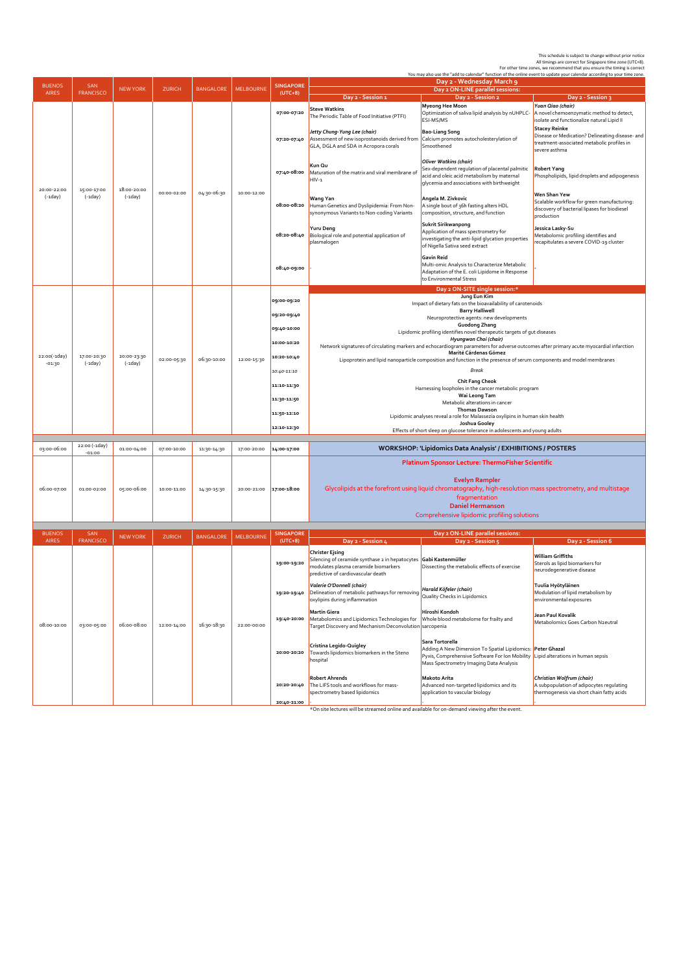This schedule is subject to change without prior notice<br>All timings are correct for Singapore time 20ne<br>For other time zones, we recommend that you ensure the timing is correct<br>You may also use the "add to calendar" functi

| <b>BUENOS</b>                 | <b>SAN</b><br><b>FRANCISCO</b> | <b>NEW YORK</b>          | <b>ZURICH</b> | <b>BANGALORE</b> |                  |                               |                                                                                                                                                                                                                                                                                             | fou may also use the "add to calendar" Tunction of the online event to update your calendar according to your time zone.<br>Day 2 - Wednesday March 9                                                        |                                                                                                                                        |  |
|-------------------------------|--------------------------------|--------------------------|---------------|------------------|------------------|-------------------------------|---------------------------------------------------------------------------------------------------------------------------------------------------------------------------------------------------------------------------------------------------------------------------------------------|--------------------------------------------------------------------------------------------------------------------------------------------------------------------------------------------------------------|----------------------------------------------------------------------------------------------------------------------------------------|--|
| <b>AIRES</b>                  |                                |                          |               |                  | <b>MELBOURNE</b> | <b>SINGAPORE</b><br>$(UTC+8)$ |                                                                                                                                                                                                                                                                                             | Day 2 ON-LINE parallel sessions:                                                                                                                                                                             |                                                                                                                                        |  |
|                               |                                |                          |               |                  |                  |                               | Day 2 - Session 1                                                                                                                                                                                                                                                                           | Day 2 - Session 2<br>Myeong Hee Moon                                                                                                                                                                         | Day 2 - Session 3<br>Yuan Qiao (chair)                                                                                                 |  |
| 20:00-22:00<br>$(-1day)$      | 15:00-17:00<br>$(-1day)$       | 18:00-20:00<br>$(-1day)$ | 00:00-02:00   | 04:30-06:30      | 10:00-12:00      | 07:00-07:20                   | <b>Steve Watkins</b><br>The Periodic Table of Food Initiative (PTFI)                                                                                                                                                                                                                        | Optimization of saliva lipid analysis by nUHPLC-<br>ESI-MS/MS                                                                                                                                                | A novel chemoenzymatic method to detect,<br>isolate and functionalize natural Lipid II                                                 |  |
|                               |                                |                          |               |                  |                  | 07:20-07:40                   | Jetty Chung-Yung Lee (chair)<br>Assessment of new isoprostanoids derived from<br>GLA, DGLA and SDA in Acropora corals                                                                                                                                                                       | <b>Bao-Liang Song</b><br>Calcium promotes autocholesterylation of<br>Smoothened                                                                                                                              | <b>Stacey Reinke</b><br>Disease or Medication? Delineating disease- and<br>treatment-associated metabolic profiles in<br>severe asthma |  |
|                               |                                |                          |               |                  |                  | 07:40-08:00                   | Kun Qu<br>Maturation of the matrix and viral membrane of<br>$HIV-1$                                                                                                                                                                                                                         | <b>Oliver Watkins (chair)</b><br>Sex-dependent regulation of placental palmitic<br>acid and oleic acid metabolism by maternal<br>glycemia and associations with birthweight                                  | <b>Robert Yang</b><br>Phospholipids, lipid droplets and adipogenesis                                                                   |  |
|                               |                                |                          |               |                  |                  | 08:00-08:20                   | Wang Yan<br>Human Genetics and Dyslipidemia: From Non-<br>synonymous Variants to Non-coding Variants                                                                                                                                                                                        | Angela M. Zivkovic<br>A single bout of 36h fasting alters HDL<br>composition, structure, and function                                                                                                        | Wen Shan Yew<br>Scalable workflow for green manufacturing:<br>discovery of bacterial lipases for biodiesel<br>production               |  |
|                               |                                |                          |               |                  |                  | 08:20-08:40                   | Yuru Deng<br>Biological role and potential application of<br>plasmalogen                                                                                                                                                                                                                    | Sukrit Sirikwanpong<br>Application of mass spectrometry for<br>investigating the anti-lipid glycation properties<br>of Nigella Sativa seed extract                                                           | Jessica Lasky-Su<br>Metabolomic profiling identifies and<br>recapitulates a severe COVID-19 cluster                                    |  |
|                               |                                |                          |               |                  |                  | 08:40-09:00                   |                                                                                                                                                                                                                                                                                             | <b>Gavin Reid</b><br>Multi-omic Analysis to Characterize Metabolic<br>Adaptation of the E. coli Lipidome in Response<br>to Environmental Stress                                                              |                                                                                                                                        |  |
|                               |                                |                          |               |                  |                  |                               |                                                                                                                                                                                                                                                                                             | Day 2 ON-SITE single session:*                                                                                                                                                                               |                                                                                                                                        |  |
|                               |                                |                          | 02:00-05:30   | 06:30-10:00      |                  | 09:00-09:20                   | Jung Eun Kim<br>Impact of dietary fats on the bioavailability of carotenoids                                                                                                                                                                                                                |                                                                                                                                                                                                              |                                                                                                                                        |  |
|                               | 17:00-20:30<br>$(-1day)$       | 20:00-23:30<br>$(-1day)$ |               |                  | 12:00-15:30      | 09:20-09:40                   | <b>Barry Halliwell</b>                                                                                                                                                                                                                                                                      |                                                                                                                                                                                                              |                                                                                                                                        |  |
|                               |                                |                          |               |                  |                  |                               | Neuroprotective agents: new developments<br>Guodong Zhang                                                                                                                                                                                                                                   |                                                                                                                                                                                                              |                                                                                                                                        |  |
|                               |                                |                          |               |                  |                  | 09:40-10:00                   | Lipidomic profiling identifies novel therapeutic targets of gut diseases<br>Hyungwon Choi (chair)<br>Network signatures of circulating markers and echocardiogram parameters for adverse outcomes after primary acute myocardial infarction                                                 |                                                                                                                                                                                                              |                                                                                                                                        |  |
|                               |                                |                          |               |                  |                  | 10:00-10:20                   |                                                                                                                                                                                                                                                                                             |                                                                                                                                                                                                              |                                                                                                                                        |  |
| 22:00(-1day)                  |                                |                          |               |                  |                  | 10:20-10:40                   | Marité Cárdenas Gómez<br>Lipoprotein and lipid nanoparticle composition and function in the presence of serum components and model membranes<br><b>Break</b><br>Chit Fang Cheok<br>Harnessing loopholes in the cancer metabolic program<br>Wai Leong Tam<br>Metabolic alterations in cancer |                                                                                                                                                                                                              |                                                                                                                                        |  |
| $-01:30$                      |                                |                          |               |                  |                  |                               |                                                                                                                                                                                                                                                                                             |                                                                                                                                                                                                              |                                                                                                                                        |  |
|                               |                                |                          |               |                  |                  | 10:40-11:10                   |                                                                                                                                                                                                                                                                                             |                                                                                                                                                                                                              |                                                                                                                                        |  |
|                               |                                |                          |               |                  |                  | 11:10-11:30                   |                                                                                                                                                                                                                                                                                             |                                                                                                                                                                                                              |                                                                                                                                        |  |
|                               |                                |                          |               |                  |                  | 11:30-11:50                   |                                                                                                                                                                                                                                                                                             |                                                                                                                                                                                                              |                                                                                                                                        |  |
|                               |                                |                          |               |                  |                  |                               |                                                                                                                                                                                                                                                                                             | <b>Thomas Dawson</b>                                                                                                                                                                                         |                                                                                                                                        |  |
|                               |                                |                          |               |                  |                  | 11:50-12:10                   | Lipidomic analyses reveal a role for Malassezia oxylipins in human skin health                                                                                                                                                                                                              |                                                                                                                                                                                                              |                                                                                                                                        |  |
|                               |                                |                          |               |                  |                  | 12:10-12:30                   | Joshua Gooley<br>Effects of short sleep on glucose tolerance in adolescents and young adults                                                                                                                                                                                                |                                                                                                                                                                                                              |                                                                                                                                        |  |
|                               |                                |                          |               |                  |                  |                               |                                                                                                                                                                                                                                                                                             |                                                                                                                                                                                                              |                                                                                                                                        |  |
| 03:00-06:00                   | 22:00 (-1day)<br>$-01:00$      | 01:00-04:00              | 07:00-10:00   | 11:30-14:30      | 17:00-20:00      | 14:00-17:00                   |                                                                                                                                                                                                                                                                                             | <b>WORKSHOP: 'Lipidomics Data Analysis' / EXHIBITIONS / POSTERS</b>                                                                                                                                          |                                                                                                                                        |  |
|                               |                                |                          |               |                  |                  |                               | <b>Platinum Sponsor Lecture: ThermoFisher Scientific</b><br><b>Evelyn Rampler</b><br>Glycolipids at the forefront using liquid chromatography, high-resolution mass spectrometry, and multistage<br>fragmentation<br><b>Daniel Hermanson</b><br>Comprehensive lipidomic profiling solutions |                                                                                                                                                                                                              |                                                                                                                                        |  |
| 06:00-07:00                   | 01:00-02:00                    | 05:00-06:00              | 10:00-11:00   | 14:30-15:30      | 20:00-21:00      | 17:00-18:00                   |                                                                                                                                                                                                                                                                                             |                                                                                                                                                                                                              |                                                                                                                                        |  |
|                               |                                |                          |               |                  |                  |                               |                                                                                                                                                                                                                                                                                             |                                                                                                                                                                                                              |                                                                                                                                        |  |
|                               |                                |                          |               |                  |                  |                               |                                                                                                                                                                                                                                                                                             |                                                                                                                                                                                                              |                                                                                                                                        |  |
|                               |                                |                          |               |                  |                  |                               |                                                                                                                                                                                                                                                                                             |                                                                                                                                                                                                              |                                                                                                                                        |  |
| <b>BUENOS</b><br><b>AIRES</b> | <b>SAN</b><br><b>FRANCISCO</b> | <b>NEW YORK</b>          | <b>ZURICH</b> | <b>BANGALORE</b> | <b>MELBOURNE</b> | <b>SINGAPORE</b>              |                                                                                                                                                                                                                                                                                             | Day 2 ON-LINE parallel sessions:                                                                                                                                                                             |                                                                                                                                        |  |
| 08:00-10:00                   | 03:00-05:00                    | 06:00-08:00              | 12:00-14:00   | 16:30-18:30      | 22:00-00:00      | $(UTC+8)$<br>19:00-19:20      | Day 2 - Session 4<br><b>Christer Ejsing</b><br>Silencing of ceramide synthase 2 in hepatocytes<br>modulates plasma ceramide biomarkers<br>predictive of cardiovascular death                                                                                                                | Day 2 - Session 5<br>Gabi Kastenmüller<br>Dissecting the metabolic effects of exercise                                                                                                                       | Day 2 - Session 6<br><b>William Griffiths</b><br>Sterols as lipid biomarkers for<br>neurodegenerative disease                          |  |
|                               |                                |                          |               |                  |                  | 19:20-19:40                   | Valerie O'Donnell (chair)<br>Delineation of metabolic pathways for removing<br>oxylipins during inflammation                                                                                                                                                                                | Harald Köfeler (chair)<br>Quality Checks in Lipidomics                                                                                                                                                       | Tuulia Hyötyläinen<br>Modulation of lipid metabolism by<br>environmental exposures                                                     |  |
|                               |                                |                          |               |                  |                  | 19:40-20:00                   | <b>Martin Giera</b><br>Metabolomics and Lipidomics Technologies for<br>Target Discovery and Mechanism Deconvolution sarcopenia                                                                                                                                                              | Hiroshi Kondoh<br>Whole blood metabolome for frailty and                                                                                                                                                     | Jean Paul Kovalik<br>Metabolomics Goes Carbon N2eutral                                                                                 |  |
|                               |                                |                          |               |                  |                  | 20:00-20:20                   | Cristina Legido-Quigley<br>Towards lipidomics biomarkers in the Steno<br>hospital                                                                                                                                                                                                           | Sara Tortorella<br>Adding A New Dimension To Spatial Lipidomics: Peter Ghazal<br>Pyxis, Comprehensive Software For Ion Mobility Lipid alterations in human sepsis<br>Mass Spectrometry Imaging Data Analysis |                                                                                                                                        |  |
|                               |                                |                          |               |                  |                  | 20:20-20:40                   | <b>Robert Ahrends</b><br>The LIFS tools and workflows for mass-<br>spectrometry based lipidomics                                                                                                                                                                                            | Makoto Arita<br>Advanced non-targeted lipidomics and its<br>application to vascular biology                                                                                                                  | Christian Wolfrum (chair)<br>A subpopulation of adipocytes regulating<br>thermogenesis via short chain fatty acids                     |  |
|                               |                                |                          |               |                  |                  | 20:40-21:00                   |                                                                                                                                                                                                                                                                                             |                                                                                                                                                                                                              |                                                                                                                                        |  |

\*On site lectures will be streamed online and available for on-demand viewing after the event.